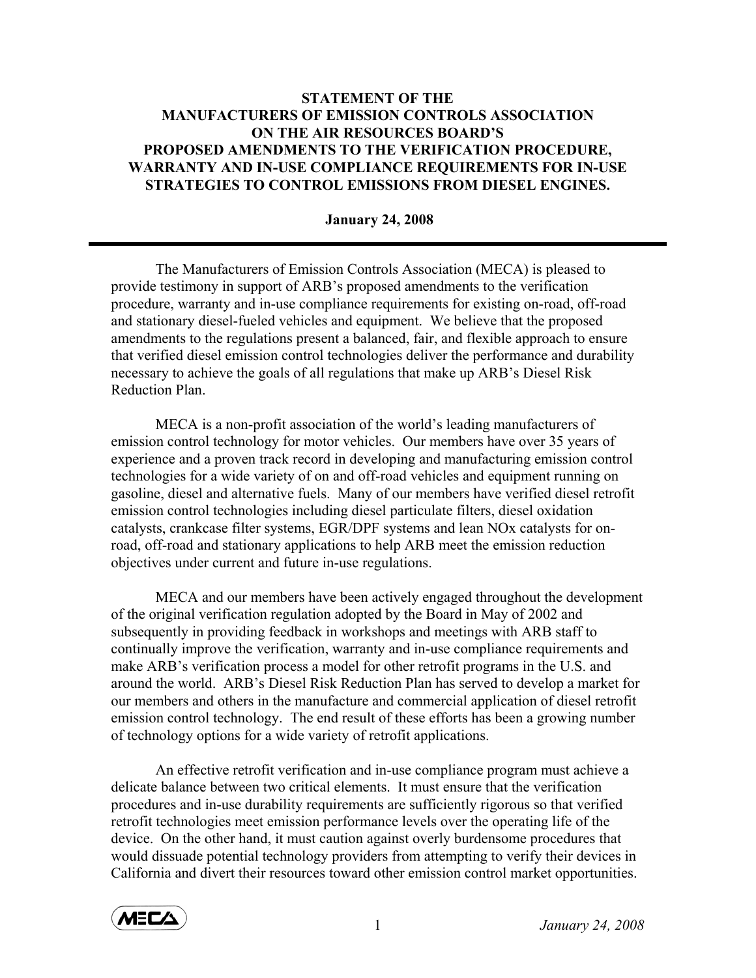## **STATEMENT OF THE MANUFACTURERS OF EMISSION CONTROLS ASSOCIATION ON THE AIR RESOURCES BOARD'S PROPOSED AMENDMENTS TO THE VERIFICATION PROCEDURE, WARRANTY AND IN-USE COMPLIANCE REQUIREMENTS FOR IN-USE STRATEGIES TO CONTROL EMISSIONS FROM DIESEL ENGINES.**

## **January 24, 2008**

 The Manufacturers of Emission Controls Association (MECA) is pleased to provide testimony in support of ARB's proposed amendments to the verification procedure, warranty and in-use compliance requirements for existing on-road, off-road and stationary diesel-fueled vehicles and equipment. We believe that the proposed amendments to the regulations present a balanced, fair, and flexible approach to ensure that verified diesel emission control technologies deliver the performance and durability necessary to achieve the goals of all regulations that make up ARB's Diesel Risk Reduction Plan.

 MECA is a non-profit association of the world's leading manufacturers of emission control technology for motor vehicles. Our members have over 35 years of experience and a proven track record in developing and manufacturing emission control technologies for a wide variety of on and off-road vehicles and equipment running on gasoline, diesel and alternative fuels. Many of our members have verified diesel retrofit emission control technologies including diesel particulate filters, diesel oxidation catalysts, crankcase filter systems, EGR/DPF systems and lean NOx catalysts for onroad, off-road and stationary applications to help ARB meet the emission reduction objectives under current and future in-use regulations.

MECA and our members have been actively engaged throughout the development of the original verification regulation adopted by the Board in May of 2002 and subsequently in providing feedback in workshops and meetings with ARB staff to continually improve the verification, warranty and in-use compliance requirements and make ARB's verification process a model for other retrofit programs in the U.S. and around the world. ARB's Diesel Risk Reduction Plan has served to develop a market for our members and others in the manufacture and commercial application of diesel retrofit emission control technology. The end result of these efforts has been a growing number of technology options for a wide variety of retrofit applications.

An effective retrofit verification and in-use compliance program must achieve a delicate balance between two critical elements. It must ensure that the verification procedures and in-use durability requirements are sufficiently rigorous so that verified retrofit technologies meet emission performance levels over the operating life of the device. On the other hand, it must caution against overly burdensome procedures that would dissuade potential technology providers from attempting to verify their devices in California and divert their resources toward other emission control market opportunities.

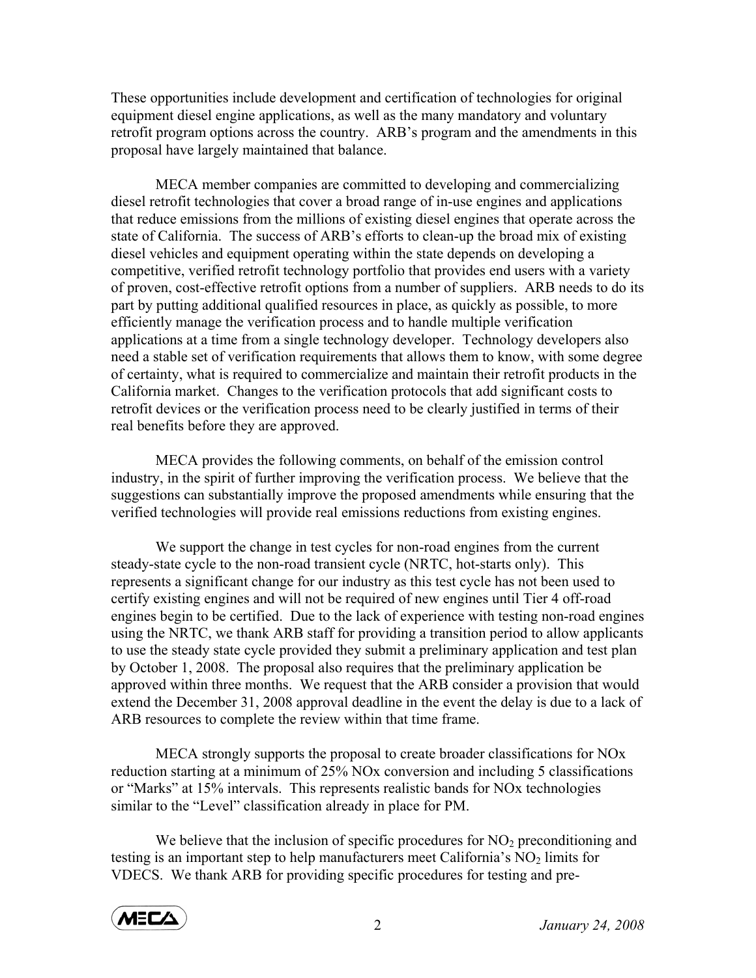These opportunities include development and certification of technologies for original equipment diesel engine applications, as well as the many mandatory and voluntary retrofit program options across the country. ARB's program and the amendments in this proposal have largely maintained that balance.

MECA member companies are committed to developing and commercializing diesel retrofit technologies that cover a broad range of in-use engines and applications that reduce emissions from the millions of existing diesel engines that operate across the state of California. The success of ARB's efforts to clean-up the broad mix of existing diesel vehicles and equipment operating within the state depends on developing a competitive, verified retrofit technology portfolio that provides end users with a variety of proven, cost-effective retrofit options from a number of suppliers. ARB needs to do its part by putting additional qualified resources in place, as quickly as possible, to more efficiently manage the verification process and to handle multiple verification applications at a time from a single technology developer. Technology developers also need a stable set of verification requirements that allows them to know, with some degree of certainty, what is required to commercialize and maintain their retrofit products in the California market. Changes to the verification protocols that add significant costs to retrofit devices or the verification process need to be clearly justified in terms of their real benefits before they are approved.

MECA provides the following comments, on behalf of the emission control industry, in the spirit of further improving the verification process. We believe that the suggestions can substantially improve the proposed amendments while ensuring that the verified technologies will provide real emissions reductions from existing engines.

We support the change in test cycles for non-road engines from the current steady-state cycle to the non-road transient cycle (NRTC, hot-starts only). This represents a significant change for our industry as this test cycle has not been used to certify existing engines and will not be required of new engines until Tier 4 off-road engines begin to be certified. Due to the lack of experience with testing non-road engines using the NRTC, we thank ARB staff for providing a transition period to allow applicants to use the steady state cycle provided they submit a preliminary application and test plan by October 1, 2008. The proposal also requires that the preliminary application be approved within three months. We request that the ARB consider a provision that would extend the December 31, 2008 approval deadline in the event the delay is due to a lack of ARB resources to complete the review within that time frame.

MECA strongly supports the proposal to create broader classifications for NOx reduction starting at a minimum of 25% NOx conversion and including 5 classifications or "Marks" at 15% intervals. This represents realistic bands for NOx technologies similar to the "Level" classification already in place for PM.

We believe that the inclusion of specific procedures for  $NO<sub>2</sub>$  preconditioning and testing is an important step to help manufacturers meet California's  $NO<sub>2</sub>$  limits for VDECS. We thank ARB for providing specific procedures for testing and pre-

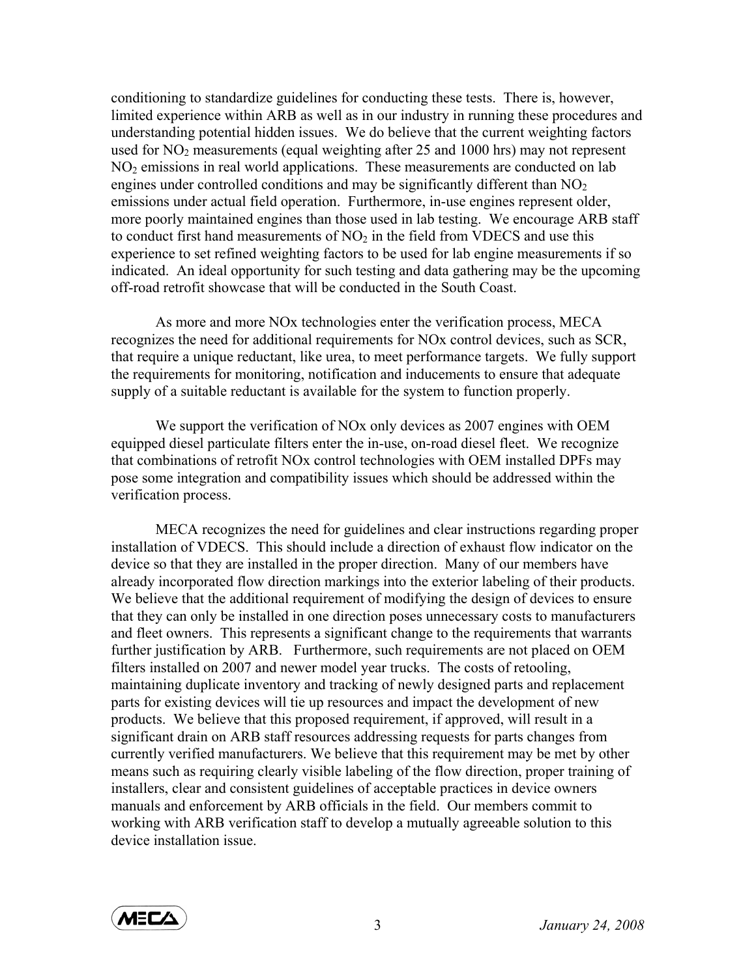conditioning to standardize guidelines for conducting these tests. There is, however, limited experience within ARB as well as in our industry in running these procedures and understanding potential hidden issues. We do believe that the current weighting factors used for  $NO<sub>2</sub>$  measurements (equal weighting after 25 and 1000 hrs) may not represent  $NO<sub>2</sub>$  emissions in real world applications. These measurements are conducted on lab engines under controlled conditions and may be significantly different than  $NO<sub>2</sub>$ emissions under actual field operation. Furthermore, in-use engines represent older, more poorly maintained engines than those used in lab testing. We encourage ARB staff to conduct first hand measurements of  $NO<sub>2</sub>$  in the field from VDECS and use this experience to set refined weighting factors to be used for lab engine measurements if so indicated. An ideal opportunity for such testing and data gathering may be the upcoming off-road retrofit showcase that will be conducted in the South Coast.

As more and more NOx technologies enter the verification process, MECA recognizes the need for additional requirements for NOx control devices, such as SCR, that require a unique reductant, like urea, to meet performance targets. We fully support the requirements for monitoring, notification and inducements to ensure that adequate supply of a suitable reductant is available for the system to function properly.

We support the verification of NOx only devices as 2007 engines with OEM equipped diesel particulate filters enter the in-use, on-road diesel fleet. We recognize that combinations of retrofit NOx control technologies with OEM installed DPFs may pose some integration and compatibility issues which should be addressed within the verification process.

MECA recognizes the need for guidelines and clear instructions regarding proper installation of VDECS. This should include a direction of exhaust flow indicator on the device so that they are installed in the proper direction. Many of our members have already incorporated flow direction markings into the exterior labeling of their products. We believe that the additional requirement of modifying the design of devices to ensure that they can only be installed in one direction poses unnecessary costs to manufacturers and fleet owners. This represents a significant change to the requirements that warrants further justification by ARB. Furthermore, such requirements are not placed on OEM filters installed on 2007 and newer model year trucks. The costs of retooling, maintaining duplicate inventory and tracking of newly designed parts and replacement parts for existing devices will tie up resources and impact the development of new products. We believe that this proposed requirement, if approved, will result in a significant drain on ARB staff resources addressing requests for parts changes from currently verified manufacturers. We believe that this requirement may be met by other means such as requiring clearly visible labeling of the flow direction, proper training of installers, clear and consistent guidelines of acceptable practices in device owners manuals and enforcement by ARB officials in the field. Our members commit to working with ARB verification staff to develop a mutually agreeable solution to this device installation issue.

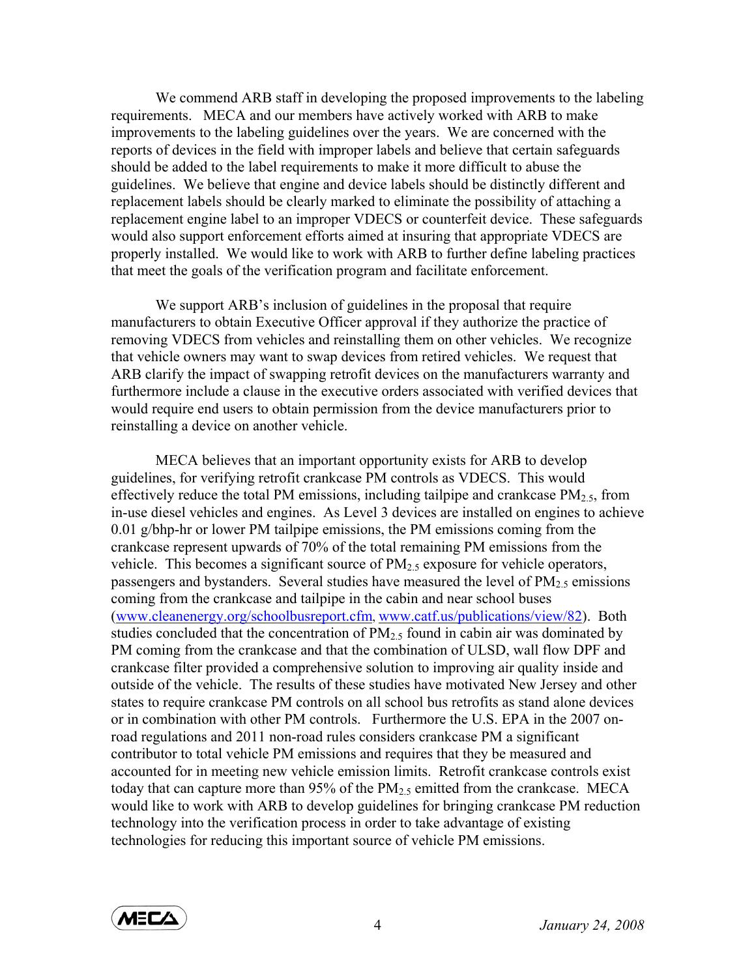We commend ARB staff in developing the proposed improvements to the labeling requirements. MECA and our members have actively worked with ARB to make improvements to the labeling guidelines over the years. We are concerned with the reports of devices in the field with improper labels and believe that certain safeguards should be added to the label requirements to make it more difficult to abuse the guidelines. We believe that engine and device labels should be distinctly different and replacement labels should be clearly marked to eliminate the possibility of attaching a replacement engine label to an improper VDECS or counterfeit device. These safeguards would also support enforcement efforts aimed at insuring that appropriate VDECS are properly installed. We would like to work with ARB to further define labeling practices that meet the goals of the verification program and facilitate enforcement.

We support ARB's inclusion of guidelines in the proposal that require manufacturers to obtain Executive Officer approval if they authorize the practice of removing VDECS from vehicles and reinstalling them on other vehicles. We recognize that vehicle owners may want to swap devices from retired vehicles. We request that ARB clarify the impact of swapping retrofit devices on the manufacturers warranty and furthermore include a clause in the executive orders associated with verified devices that would require end users to obtain permission from the device manufacturers prior to reinstalling a device on another vehicle.

MECA believes that an important opportunity exists for ARB to develop guidelines, for verifying retrofit crankcase PM controls as VDECS. This would effectively reduce the total PM emissions, including tailpipe and crankcase  $PM_{2.5}$ , from in-use diesel vehicles and engines. As Level 3 devices are installed on engines to achieve 0.01 g/bhp-hr or lower PM tailpipe emissions, the PM emissions coming from the crankcase represent upwards of 70% of the total remaining PM emissions from the vehicle. This becomes a significant source of  $PM<sub>2.5</sub>$  exposure for vehicle operators, passengers and bystanders. Several studies have measured the level of  $PM_{2.5}$  emissions coming from the crankcase and tailpipe in the cabin and near school buses (www.cleanenergy.org/schoolbusreport.cfm, www.catf.us/publications/view/82). Both studies concluded that the concentration of  $PM<sub>2.5</sub>$  found in cabin air was dominated by PM coming from the crankcase and that the combination of ULSD, wall flow DPF and crankcase filter provided a comprehensive solution to improving air quality inside and outside of the vehicle. The results of these studies have motivated New Jersey and other states to require crankcase PM controls on all school bus retrofits as stand alone devices or in combination with other PM controls. Furthermore the U.S. EPA in the 2007 onroad regulations and 2011 non-road rules considers crankcase PM a significant contributor to total vehicle PM emissions and requires that they be measured and accounted for in meeting new vehicle emission limits. Retrofit crankcase controls exist today that can capture more than 95% of the  $PM<sub>2.5</sub>$  emitted from the crankcase. MECA would like to work with ARB to develop guidelines for bringing crankcase PM reduction technology into the verification process in order to take advantage of existing technologies for reducing this important source of vehicle PM emissions.